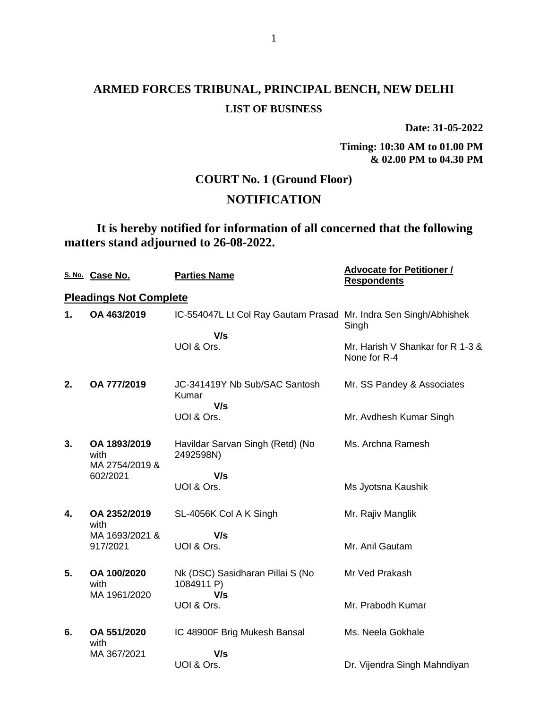**Date: 31-05-2022**

**Timing: 10:30 AM to 01.00 PM & 02.00 PM to 04.30 PM**

### **COURT No. 1 (Ground Floor)**

### **NOTIFICATION**

**It is hereby notified for information of all concerned that the following matters stand adjourned to 26-08-2022.**

|    | S. No. Case No.                        | <b>Parties Name</b>                                              | <b>Advocate for Petitioner /</b><br><b>Respondents</b> |
|----|----------------------------------------|------------------------------------------------------------------|--------------------------------------------------------|
|    | <b>Pleadings Not Complete</b>          |                                                                  |                                                        |
| 1. | OA 463/2019                            | IC-554047L Lt Col Ray Gautam Prasad Mr. Indra Sen Singh/Abhishek | Singh                                                  |
|    |                                        | V/s                                                              |                                                        |
|    |                                        | UOI & Ors.                                                       | Mr. Harish V Shankar for R 1-3 &<br>None for R-4       |
| 2. | OA 777/2019                            | JC-341419Y Nb Sub/SAC Santosh<br>Kumar<br>V/s                    | Mr. SS Pandey & Associates                             |
|    |                                        | UOI & Ors.                                                       | Mr. Avdhesh Kumar Singh                                |
| 3. | OA 1893/2019<br>with<br>MA 2754/2019 & | Havildar Sarvan Singh (Retd) (No<br>2492598N)                    | Ms. Archna Ramesh                                      |
|    | 602/2021                               | V/s                                                              |                                                        |
|    |                                        | UOI & Ors.                                                       | Ms Jyotsna Kaushik                                     |
| 4. | OA 2352/2019<br>with                   | SL-4056K Col A K Singh                                           | Mr. Rajiv Manglik                                      |
|    | MA 1693/2021 &                         | V/s                                                              |                                                        |
|    | 917/2021                               | UOI & Ors.                                                       | Mr. Anil Gautam                                        |
| 5. | OA 100/2020<br>with<br>MA 1961/2020    | Nk (DSC) Sasidharan Pillai S (No<br>1084911 P)<br>V/s            | Mr Ved Prakash                                         |
|    |                                        | UOI & Ors.                                                       | Mr. Prabodh Kumar                                      |
| 6. | OA 551/2020<br>with                    | IC 48900F Brig Mukesh Bansal                                     | Ms. Neela Gokhale                                      |
|    | MA 367/2021                            | V/s                                                              |                                                        |
|    |                                        | UOI & Ors.                                                       | Dr. Vijendra Singh Mahndiyan                           |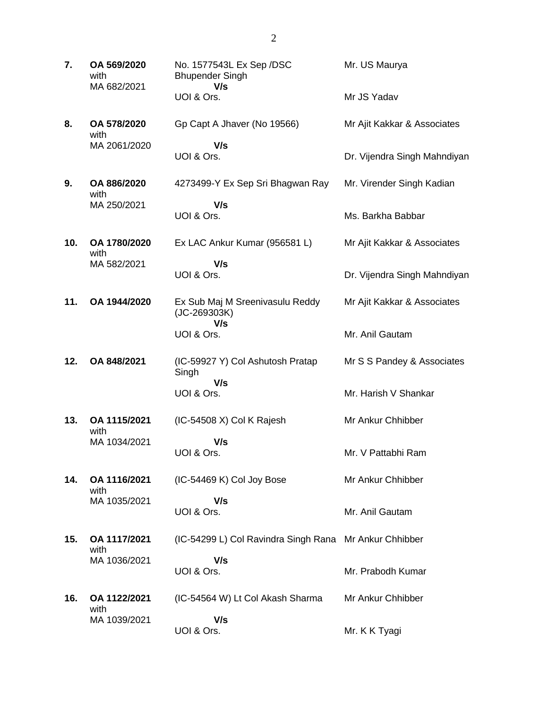**7. OA 569/2020** with MA 682/2021 No. 1577543L Ex Sep /DSC Bhupender Singh  **V/s** UOI & Ors. Mr. US Maurya Mr JS Yadav **8. OA 578/2020** with MA 2061/2020 Gp Capt A Jhaver (No 19566)  **V/s** UOI & Ors. Mr Ajit Kakkar & Associates Dr. Vijendra Singh Mahndiyan **9. OA 886/2020** with MA 250/2021 4273499-Y Ex Sep Sri Bhagwan Ray  **V/s** UOI & Ors. Mr. Virender Singh Kadian Ms. Barkha Babbar **10. OA 1780/2020** with MA 582/2021 Ex LAC Ankur Kumar (956581 L)  **V/s** UOI & Ors. Mr Ajit Kakkar & Associates Dr. Vijendra Singh Mahndiyan **11. OA 1944/2020** Ex Sub Maj M Sreenivasulu Reddy (JC-269303K)  **V/s** UOI & Ors. Mr Ajit Kakkar & Associates Mr. Anil Gautam **12. OA 848/2021** (IC-59927 Y) Col Ashutosh Pratap Singh  **V/s** UOI & Ors. Mr S S Pandey & Associates Mr. Harish V Shankar **13. OA 1115/2021** with MA 1034/2021 (IC-54508 X) Col K Rajesh  **V/s** UOI & Ors. Mr Ankur Chhibber Mr. V Pattabhi Ram **14. OA 1116/2021** with MA 1035/2021 (IC-54469 K) Col Joy Bose  **V/s** UOI & Ors. Mr Ankur Chhibber Mr. Anil Gautam **15. OA 1117/2021** with MA 1036/2021 (IC-54299 L) Col Ravindra Singh Rana Mr Ankur Chhibber  **V/s** UOI & Ors. Mr. Prabodh Kumar **16. OA 1122/2021** with MA 1039/2021 (IC-54564 W) Lt Col Akash Sharma  **V/s** UOI & Ors. Mr Ankur Chhibber Mr. K K Tyagi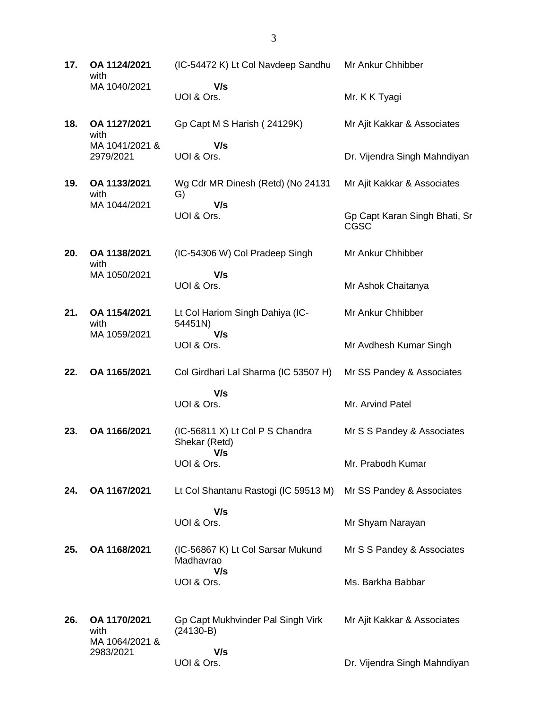**17. OA 1124/2021** with MA 1040/2021 (IC-54472 K) Lt Col Navdeep Sandhu Mr Ankur Chhibber  **V/s** UOI & Ors. Mr. K K Tyagi **18. OA 1127/2021** with MA 1041/2021 & 2979/2021 Gp Capt M S Harish ( 24129K)  **V/s** UOI & Ors. Mr Ajit Kakkar & Associates Dr. Vijendra Singh Mahndiyan **19. OA 1133/2021** with MA 1044/2021 Wg Cdr MR Dinesh (Retd) (No 24131 G)  **V/s** UOI & Ors. Mr Ajit Kakkar & Associates Gp Capt Karan Singh Bhati, Sr CGSC **20. OA 1138/2021** with MA 1050/2021 (IC-54306 W) Col Pradeep Singh  **V/s** UOI & Ors. Mr Ankur Chhibber Mr Ashok Chaitanya **21. OA 1154/2021** with MA 1059/2021 Lt Col Hariom Singh Dahiya (IC-54451N)  **V/s** UOI & Ors. Mr Ankur Chhibber Mr Avdhesh Kumar Singh **22. OA 1165/2021** Col Girdhari Lal Sharma (IC 53507 H)  **V/s** UOI & Ors. Mr SS Pandey & Associates Mr. Arvind Patel **23. OA 1166/2021** (IC-56811 X) Lt Col P S Chandra Shekar (Retd)  **V/s** UOI & Ors. Mr S S Pandey & Associates Mr. Prabodh Kumar **24. OA 1167/2021** Lt Col Shantanu Rastogi (IC 59513 M)  **V/s** UOI & Ors. Mr SS Pandey & Associates Mr Shyam Narayan **25. OA 1168/2021** (IC-56867 K) Lt Col Sarsar Mukund Madhavrao  **V/s** UOI & Ors. Mr S S Pandey & Associates Ms. Barkha Babbar **26. OA 1170/2021** with MA 1064/2021 & 2983/2021 Gp Capt Mukhvinder Pal Singh Virk (24130-B)  **V/s** Mr Ajit Kakkar & Associates

Dr. Vijendra Singh Mahndiyan

UOI & Ors.

3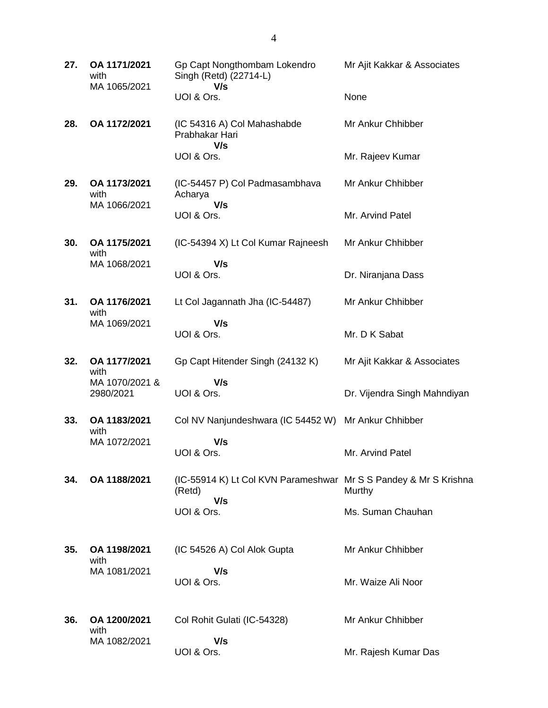| 27. | OA 1171/2021<br>with<br>MA 1065/2021 | Gp Capt Nongthombam Lokendro<br>Singh (Retd) (22714-L)<br>V/s              | Mr Ajit Kakkar & Associates  |
|-----|--------------------------------------|----------------------------------------------------------------------------|------------------------------|
|     |                                      | UOI & Ors.                                                                 | None                         |
| 28. | OA 1172/2021                         | (IC 54316 A) Col Mahashabde<br>Prabhakar Hari<br>V/s                       | Mr Ankur Chhibber            |
|     |                                      | UOI & Ors.                                                                 | Mr. Rajeev Kumar             |
| 29. | OA 1173/2021<br>with<br>MA 1066/2021 | (IC-54457 P) Col Padmasambhava<br>Acharya<br>V/s                           | Mr Ankur Chhibber            |
|     |                                      | UOI & Ors.                                                                 | Mr. Arvind Patel             |
| 30. | OA 1175/2021<br>with                 | (IC-54394 X) Lt Col Kumar Rajneesh                                         | Mr Ankur Chhibber            |
|     | MA 1068/2021                         | V/s<br>UOI & Ors.                                                          | Dr. Niranjana Dass           |
| 31. | OA 1176/2021<br>with                 | Lt Col Jagannath Jha (IC-54487)                                            | Mr Ankur Chhibber            |
|     | MA 1069/2021                         | V/s<br>UOI & Ors.                                                          | Mr. D K Sabat                |
| 32. | OA 1177/2021<br>with                 | Gp Capt Hitender Singh (24132 K)                                           | Mr Ajit Kakkar & Associates  |
|     | MA 1070/2021 &<br>2980/2021          | V/s<br>UOI & Ors.                                                          | Dr. Vijendra Singh Mahndiyan |
| 33. | OA 1183/2021<br>with                 | Col NV Nanjundeshwara (IC 54452 W)                                         | Mr Ankur Chhibber            |
|     | MA 1072/2021                         | V/s<br>UOI & Ors.                                                          | Mr. Arvind Patel             |
| 34. | OA 1188/2021                         | (IC-55914 K) Lt Col KVN Parameshwar Mr S S Pandey & Mr S Krishna<br>(Retd) | Murthy                       |
|     |                                      | V/s<br>UOI & Ors.                                                          | Ms. Suman Chauhan            |
| 35. | OA 1198/2021<br>with                 | (IC 54526 A) Col Alok Gupta                                                | Mr Ankur Chhibber            |
|     | MA 1081/2021                         | V/s<br>UOI & Ors.                                                          | Mr. Waize Ali Noor           |
| 36. | OA 1200/2021<br>with                 | Col Rohit Gulati (IC-54328)                                                | Mr Ankur Chhibber            |
|     | MA 1082/2021                         | V/s<br>UOI & Ors.                                                          | Mr. Rajesh Kumar Das         |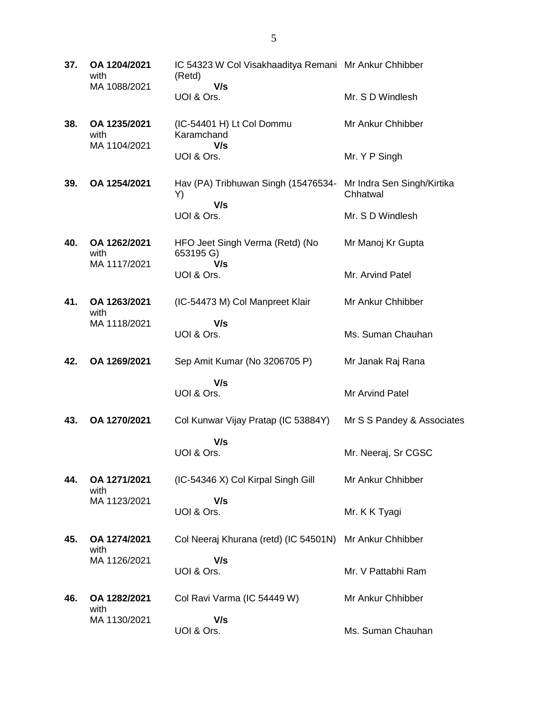| 37. | OA 1204/2021<br>with<br>MA 1088/2021 | IC 54323 W Col Visakhaaditya Remani Mr Ankur Chhibber<br>(Retd)<br>V/s |                                        |
|-----|--------------------------------------|------------------------------------------------------------------------|----------------------------------------|
|     |                                      | UOI & Ors.                                                             | Mr. S D Windlesh                       |
| 38. | OA 1235/2021<br>with<br>MA 1104/2021 | (IC-54401 H) Lt Col Dommu<br>Karamchand                                | Mr Ankur Chhibber                      |
|     |                                      | V/s<br>UOI & Ors.                                                      | Mr. Y P Singh                          |
| 39. | OA 1254/2021                         | Hav (PA) Tribhuwan Singh (15476534-<br>Y)<br>V/s                       | Mr Indra Sen Singh/Kirtika<br>Chhatwal |
|     |                                      | UOI & Ors.                                                             | Mr. S D Windlesh                       |
| 40. | OA 1262/2021<br>with<br>MA 1117/2021 | HFO Jeet Singh Verma (Retd) (No<br>653195 G)<br>V/s                    | Mr Manoj Kr Gupta                      |
|     |                                      | UOI & Ors.                                                             | Mr. Arvind Patel                       |
| 41. | OA 1263/2021<br>with                 | (IC-54473 M) Col Manpreet Klair                                        | Mr Ankur Chhibber                      |
|     | MA 1118/2021                         | V/s<br>UOI & Ors.                                                      | Ms. Suman Chauhan                      |
| 42. | OA 1269/2021                         | Sep Amit Kumar (No 3206705 P)                                          | Mr Janak Raj Rana                      |
|     |                                      | V/s<br>UOI & Ors.                                                      | Mr Arvind Patel                        |
| 43. | OA 1270/2021                         | Col Kunwar Vijay Pratap (IC 53884Y)                                    | Mr S S Pandey & Associates             |
|     |                                      | V/s<br>UOI & Ors.                                                      | Mr. Neeraj, Sr CGSC                    |
| 44. | OA 1271/2021<br>with                 | (IC-54346 X) Col Kirpal Singh Gill                                     | Mr Ankur Chhibber                      |
|     | MA 1123/2021                         | V/s<br>UOI & Ors.                                                      | Mr. K K Tyagi                          |
| 45. | OA 1274/2021<br>with                 | Col Neeraj Khurana (retd) (IC 54501N) Mr Ankur Chhibber                |                                        |
|     | MA 1126/2021                         | V/s<br>UOI & Ors.                                                      | Mr. V Pattabhi Ram                     |
| 46. | OA 1282/2021<br>with                 | Col Ravi Varma (IC 54449 W)                                            | Mr Ankur Chhibber                      |
|     | MA 1130/2021                         | V/s<br>UOI & Ors.                                                      | Ms. Suman Chauhan                      |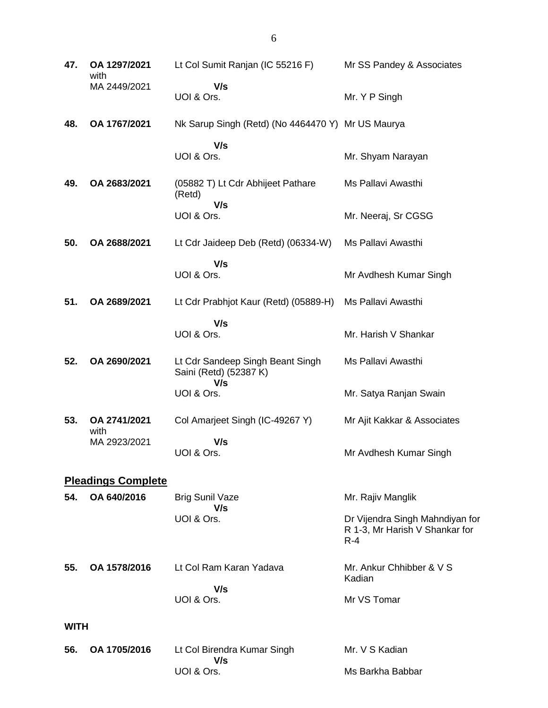| 47.         | OA 1297/2021<br>with      | Lt Col Sumit Ranjan (IC 55216 F)                                  | Mr SS Pandey & Associates                                                    |
|-------------|---------------------------|-------------------------------------------------------------------|------------------------------------------------------------------------------|
|             | MA 2449/2021              | V/s<br>UOI & Ors.                                                 | Mr. Y P Singh                                                                |
| 48.         | OA 1767/2021              | Nk Sarup Singh (Retd) (No 4464470 Y) Mr US Maurya                 |                                                                              |
|             |                           | V/s<br>UOI & Ors.                                                 | Mr. Shyam Narayan                                                            |
| 49.         | OA 2683/2021              | (05882 T) Lt Cdr Abhijeet Pathare<br>(Retd)<br>V/s                | Ms Pallavi Awasthi                                                           |
|             |                           | UOI & Ors.                                                        | Mr. Neeraj, Sr CGSG                                                          |
| 50.         | OA 2688/2021              | Lt Cdr Jaideep Deb (Retd) (06334-W)                               | Ms Pallavi Awasthi                                                           |
|             |                           | V/s<br>UOI & Ors.                                                 | Mr Avdhesh Kumar Singh                                                       |
| 51.         | OA 2689/2021              | Lt Cdr Prabhjot Kaur (Retd) (05889-H)                             | Ms Pallavi Awasthi                                                           |
|             |                           | V/s<br>UOI & Ors.                                                 | Mr. Harish V Shankar                                                         |
| 52.         | OA 2690/2021              | Lt Cdr Sandeep Singh Beant Singh<br>Saini (Retd) (52387 K)<br>V/s | Ms Pallavi Awasthi                                                           |
|             |                           | UOI & Ors.                                                        | Mr. Satya Ranjan Swain                                                       |
| 53.         | OA 2741/2021<br>with      | Col Amarjeet Singh (IC-49267 Y)                                   | Mr Ajit Kakkar & Associates                                                  |
|             | MA 2923/2021              | V/s<br>UOI & Ors.                                                 | Mr Avdhesh Kumar Singh                                                       |
|             | <b>Pleadings Complete</b> |                                                                   |                                                                              |
| 54.         | OA 640/2016               | <b>Brig Sunil Vaze</b><br>V/s                                     | Mr. Rajiv Manglik                                                            |
|             |                           | UOI & Ors.                                                        | Dr Vijendra Singh Mahndiyan for<br>R 1-3, Mr Harish V Shankar for<br>$R - 4$ |
| 55.         | OA 1578/2016              | Lt Col Ram Karan Yadava                                           | Mr. Ankur Chhibber & V S<br>Kadian                                           |
|             |                           | V/s<br>UOI & Ors.                                                 | Mr VS Tomar                                                                  |
| <b>WITH</b> |                           |                                                                   |                                                                              |
| 56.         | OA 1705/2016              | Lt Col Birendra Kumar Singh                                       | Mr. V S Kadian                                                               |
|             |                           | V/s<br>UOI & Ors.                                                 | Ms Barkha Babbar                                                             |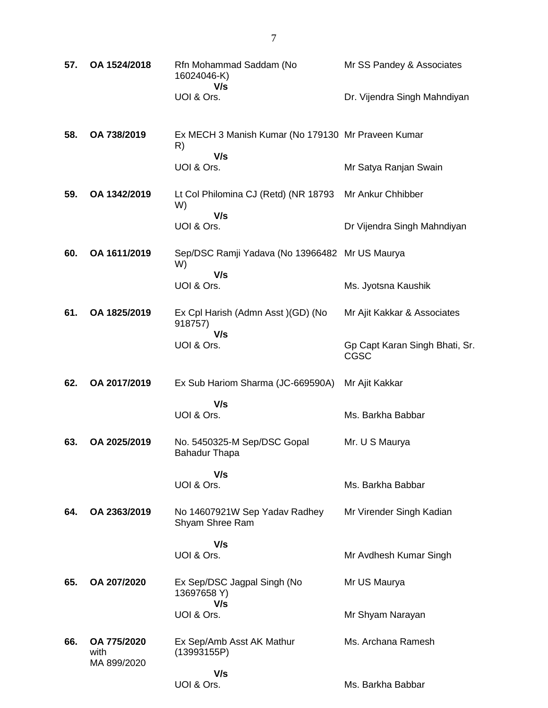| 57. | OA 1524/2018                       | Rfn Mohammad Saddam (No<br>16024046-K)                   | Mr SS Pandey & Associates                     |
|-----|------------------------------------|----------------------------------------------------------|-----------------------------------------------|
|     |                                    | V/s<br>UOI & Ors.                                        | Dr. Vijendra Singh Mahndiyan                  |
| 58. | OA 738/2019                        | Ex MECH 3 Manish Kumar (No 179130 Mr Praveen Kumar<br>R) |                                               |
|     |                                    | V/s<br>UOI & Ors.                                        | Mr Satya Ranjan Swain                         |
| 59. | OA 1342/2019                       | Lt Col Philomina CJ (Retd) (NR 18793<br>W)<br>V/s        | Mr Ankur Chhibber                             |
|     |                                    | UOI & Ors.                                               | Dr Vijendra Singh Mahndiyan                   |
| 60. | OA 1611/2019                       | Sep/DSC Ramji Yadava (No 13966482 Mr US Maurya<br>W)     |                                               |
|     |                                    | V/s<br>UOI & Ors.                                        | Ms. Jyotsna Kaushik                           |
| 61. | OA 1825/2019                       | Ex Cpl Harish (Admn Asst) (GD) (No<br>918757)            | Mr Ajit Kakkar & Associates                   |
|     |                                    | V/s<br>UOI & Ors.                                        | Gp Capt Karan Singh Bhati, Sr.<br><b>CGSC</b> |
| 62. | OA 2017/2019                       | Ex Sub Hariom Sharma (JC-669590A)                        | Mr Ajit Kakkar                                |
|     |                                    | V/s<br>UOI & Ors.                                        | Ms. Barkha Babbar                             |
| 63. | OA 2025/2019                       | No. 5450325-M Sep/DSC Gopal<br><b>Bahadur Thapa</b>      | Mr. U S Maurya                                |
|     |                                    | V/s<br>UOI & Ors.                                        | Ms. Barkha Babbar                             |
| 64. | OA 2363/2019                       | No 14607921W Sep Yadav Radhey<br>Shyam Shree Ram         | Mr Virender Singh Kadian                      |
|     |                                    | V/s<br>UOI & Ors.                                        | Mr Avdhesh Kumar Singh                        |
| 65. | OA 207/2020                        |                                                          |                                               |
|     |                                    | Ex Sep/DSC Jagpal Singh (No<br>13697658 Y)<br>V/s        | Mr US Maurya                                  |
|     |                                    | UOI & Ors.                                               | Mr Shyam Narayan                              |
| 66. | OA 775/2020<br>with<br>MA 899/2020 | Ex Sep/Amb Asst AK Mathur<br>(13993155P)                 | Ms. Archana Ramesh                            |
|     |                                    | V/s<br>UOI & Ors.                                        | Ms. Barkha Babbar                             |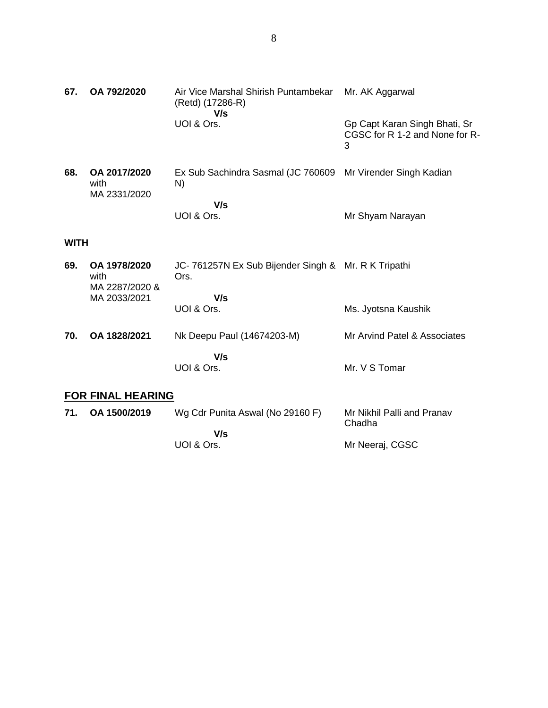| 67.         | OA 792/2020                            | Air Vice Marshal Shirish Puntambekar<br>(Retd) (17286-R)<br>V/s   | Mr. AK Aggarwal                                                      |
|-------------|----------------------------------------|-------------------------------------------------------------------|----------------------------------------------------------------------|
|             |                                        | UOI & Ors.                                                        | Gp Capt Karan Singh Bhati, Sr<br>CGSC for R 1-2 and None for R-<br>3 |
| 68.         | OA 2017/2020<br>with<br>MA 2331/2020   | Ex Sub Sachindra Sasmal (JC 760609 Mr Virender Singh Kadian<br>N) |                                                                      |
|             |                                        | V/s<br>UOI & Ors.                                                 | Mr Shyam Narayan                                                     |
| <b>WITH</b> |                                        |                                                                   |                                                                      |
| 69.         | OA 1978/2020<br>with<br>MA 2287/2020 & | JC-761257N Ex Sub Bijender Singh & Mr. R K Tripathi<br>Ors.       |                                                                      |
|             | MA 2033/2021                           | V/s                                                               |                                                                      |
|             |                                        | UOI & Ors.                                                        | Ms. Jyotsna Kaushik                                                  |
| 70.         | OA 1828/2021                           | Nk Deepu Paul (14674203-M)                                        | Mr Arvind Patel & Associates                                         |
|             |                                        | V/s                                                               |                                                                      |
|             |                                        | UOI & Ors.                                                        | Mr. V S Tomar                                                        |
|             | <b>FOR FINAL HEARING</b>               |                                                                   |                                                                      |
| 71.         | OA 1500/2019                           | Wg Cdr Punita Aswal (No 29160 F)                                  | Mr Nikhil Palli and Pranav<br>Chadha                                 |
|             |                                        | V/s<br>UOI & Ors.                                                 | Mr Neeraj, CGSC                                                      |
|             |                                        |                                                                   |                                                                      |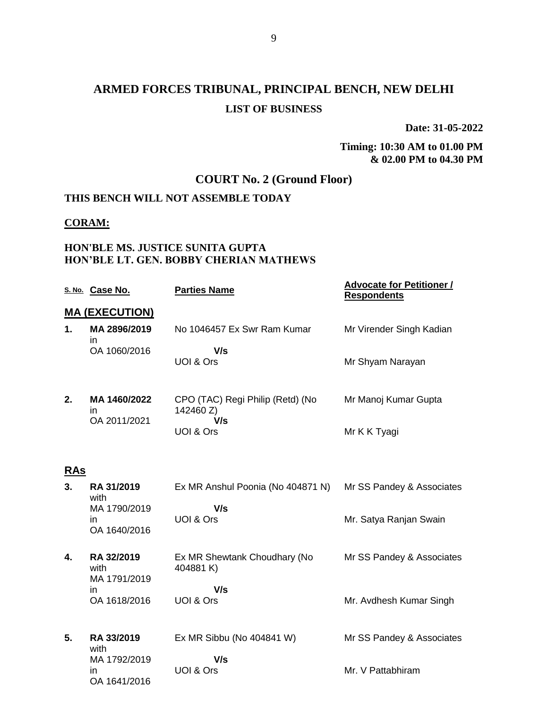**Date: 31-05-2022**

#### **Timing: 10:30 AM to 01.00 PM & 02.00 PM to 04.30 PM**

## **COURT No. 2 (Ground Floor)**

#### **THIS BENCH WILL NOT ASSEMBLE TODAY**

#### **CORAM:**

#### **HON'BLE MS. JUSTICE SUNITA GUPTA HON'BLE LT. GEN. BOBBY CHERIAN MATHEWS**

|            | S. No. Case No.                     | <b>Parties Name</b>                           | <b>Advocate for Petitioner /</b><br><b>Respondents</b> |
|------------|-------------------------------------|-----------------------------------------------|--------------------------------------------------------|
|            | <b>MA (EXECUTION)</b>               |                                               |                                                        |
| 1.         | MA 2896/2019<br>in.                 | No 1046457 Ex Swr Ram Kumar                   | Mr Virender Singh Kadian                               |
|            | OA 1060/2016                        | V/s<br>UOI & Ors                              | Mr Shyam Narayan                                       |
| 2.         | MA 1460/2022<br>in.                 | CPO (TAC) Regi Philip (Retd) (No<br>142460 Z) | Mr Manoj Kumar Gupta                                   |
|            | OA 2011/2021                        | V/s<br>UOI & Ors                              | Mr K K Tyagi                                           |
| <u>RAs</u> |                                     |                                               |                                                        |
| 3.         | RA 31/2019<br>with                  | Ex MR Anshul Poonia (No 404871 N)             | Mr SS Pandey & Associates                              |
|            | MA 1790/2019<br>in.<br>OA 1640/2016 | V/s<br>UOI & Ors                              | Mr. Satya Ranjan Swain                                 |
| 4.         | RA 32/2019<br>with<br>MA 1791/2019  | Ex MR Shewtank Choudhary (No<br>404881K)      | Mr SS Pandey & Associates                              |
|            | in<br>OA 1618/2016                  | V/s<br>UOI & Ors                              | Mr. Avdhesh Kumar Singh                                |
| 5.         | RA 33/2019<br>with                  | Ex MR Sibbu (No 404841 W)                     | Mr SS Pandey & Associates                              |
|            | MA 1792/2019<br>in<br>OA 1641/2016  | V/s<br>UOI & Ors                              | Mr. V Pattabhiram                                      |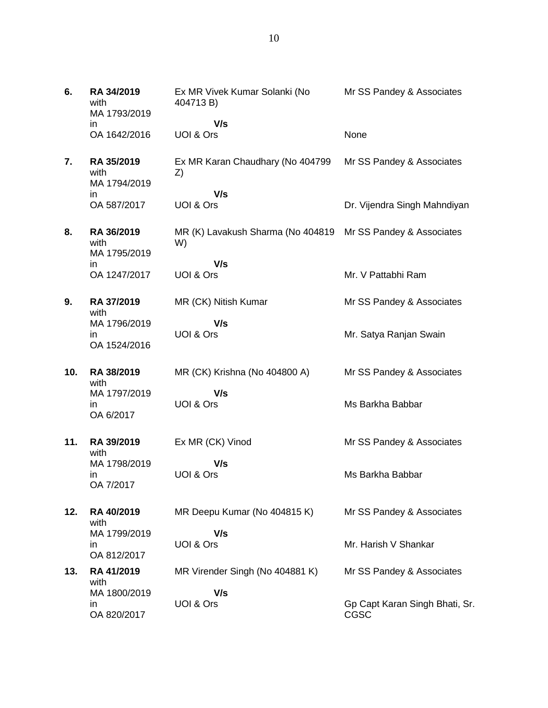| 6.  | RA 34/2019<br>with<br>MA 1793/2019  | Ex MR Vivek Kumar Solanki (No<br>404713 B)                  | Mr SS Pandey & Associates              |
|-----|-------------------------------------|-------------------------------------------------------------|----------------------------------------|
|     | in.                                 | V/s                                                         |                                        |
|     | OA 1642/2016                        | UOI & Ors                                                   | None                                   |
| 7.  | RA 35/2019<br>with<br>MA 1794/2019  | Ex MR Karan Chaudhary (No 404799<br>Z)                      | Mr SS Pandey & Associates              |
|     | in<br>OA 587/2017                   | V/s<br>UOI & Ors                                            | Dr. Vijendra Singh Mahndiyan           |
| 8.  | RA 36/2019                          | MR (K) Lavakush Sharma (No 404819 Mr SS Pandey & Associates |                                        |
|     | with<br>MA 1795/2019                | W)                                                          |                                        |
|     | in<br>OA 1247/2017                  | V/s<br>UOI & Ors                                            | Mr. V Pattabhi Ram                     |
| 9.  | RA 37/2019<br>with                  | MR (CK) Nitish Kumar                                        | Mr SS Pandey & Associates              |
|     | MA 1796/2019<br>in.<br>OA 1524/2016 | V/s<br>UOI & Ors                                            | Mr. Satya Ranjan Swain                 |
| 10. | RA 38/2019<br>with                  | MR (CK) Krishna (No 404800 A)                               | Mr SS Pandey & Associates              |
|     | MA 1797/2019<br>in.<br>OA 6/2017    | V/s<br>UOI & Ors                                            | Ms Barkha Babbar                       |
| 11. | RA 39/2019<br>with                  | Ex MR (CK) Vinod                                            | Mr SS Pandey & Associates              |
|     | MA 1798/2019<br>ın<br>OA 7/2017     | V/s<br>UOI & Ors                                            | Ms Barkha Babbar                       |
| 12. | RA 40/2019<br>with                  | MR Deepu Kumar (No 404815 K)                                | Mr SS Pandey & Associates              |
|     | MA 1799/2019<br>ın<br>OA 812/2017   | V/s<br>UOI & Ors                                            | Mr. Harish V Shankar                   |
| 13. | RA 41/2019<br>with                  | MR Virender Singh (No 404881 K)                             | Mr SS Pandey & Associates              |
|     | MA 1800/2019<br>ın<br>OA 820/2017   | V/s<br>UOI & Ors                                            | Gp Capt Karan Singh Bhati, Sr.<br>CGSC |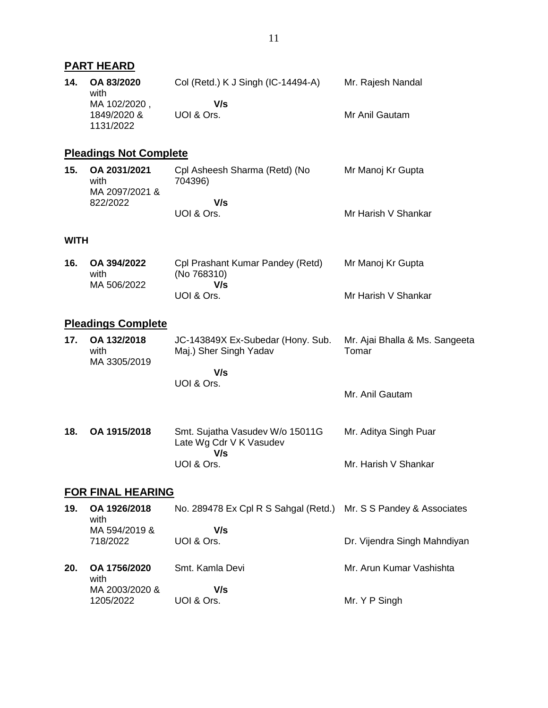|             | <b>PART HEARD</b>                      |                                                                   |                                         |
|-------------|----------------------------------------|-------------------------------------------------------------------|-----------------------------------------|
| 14.         | OA 83/2020<br>with<br>MA 102/2020,     | Col (Retd.) K J Singh (IC-14494-A)<br>V/s                         | Mr. Rajesh Nandal                       |
|             | 1849/2020 &<br>1131/2022               | UOI & Ors.                                                        | Mr Anil Gautam                          |
|             | <b>Pleadings Not Complete</b>          |                                                                   |                                         |
| 15.         | OA 2031/2021<br>with<br>MA 2097/2021 & | Cpl Asheesh Sharma (Retd) (No<br>704396)                          | Mr Manoj Kr Gupta                       |
|             | 822/2022                               | V/s<br>UOI & Ors.                                                 | Mr Harish V Shankar                     |
| <b>WITH</b> |                                        |                                                                   |                                         |
| 16.         | OA 394/2022<br>with<br>MA 506/2022     | Cpl Prashant Kumar Pandey (Retd)<br>(No 768310)<br>V/s            | Mr Manoj Kr Gupta                       |
|             |                                        | UOI & Ors.                                                        | Mr Harish V Shankar                     |
|             | <b>Pleadings Complete</b>              |                                                                   |                                         |
| 17.         | OA 132/2018<br>with<br>MA 3305/2019    | JC-143849X Ex-Subedar (Hony. Sub.<br>Maj.) Sher Singh Yadav       | Mr. Ajai Bhalla & Ms. Sangeeta<br>Tomar |
|             |                                        | V/s<br>UOI & Ors.                                                 |                                         |
|             |                                        |                                                                   | Mr. Anil Gautam                         |
| 18.         | OA 1915/2018                           | Smt. Sujatha Vasudev W/o 15011G<br>Late Wg Cdr V K Vasudev<br>V/s | Mr. Aditya Singh Puar                   |
|             |                                        | UOI & Ors.                                                        | Mr. Harish V Shankar                    |
|             | <b>FOR FINAL HEARING</b>               |                                                                   |                                         |
| 19.         | OA 1926/2018<br>with                   | No. 289478 Ex Cpl R S Sahgal (Retd.)                              | Mr. S S Pandey & Associates             |
|             | MA 594/2019 &<br>718/2022              | V/s<br>UOI & Ors.                                                 | Dr. Vijendra Singh Mahndiyan            |
| 20.         | OA 1756/2020<br>with                   | Smt. Kamla Devi                                                   | Mr. Arun Kumar Vashishta                |
|             | MA 2003/2020 &<br>1205/2022            | V/s<br>UOI & Ors.                                                 | Mr. Y P Singh                           |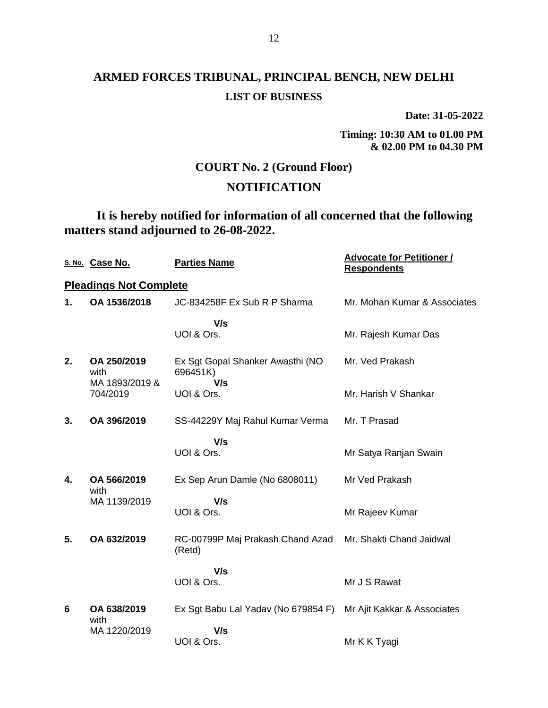**Date: 31-05-2022**

**Timing: 10:30 AM to 01.00 PM & 02.00 PM to 04.30 PM**

### **COURT No. 2 (Ground Floor)**

### **NOTIFICATION**

**It is hereby notified for information of all concerned that the following matters stand adjourned to 26-08-2022.**

|    | S. No. Case No.                       | <b>Parties Name</b>                                             | <b>Advocate for Petitioner /</b><br><b>Respondents</b> |
|----|---------------------------------------|-----------------------------------------------------------------|--------------------------------------------------------|
|    | <b>Pleadings Not Complete</b>         |                                                                 |                                                        |
| 1. | OA 1536/2018                          | JC-834258F Ex Sub R P Sharma                                    | Mr. Mohan Kumar & Associates                           |
|    |                                       | V/s<br>UOI & Ors.                                               | Mr. Rajesh Kumar Das                                   |
| 2. | OA 250/2019<br>with<br>MA 1893/2019 & | Ex Sgt Gopal Shanker Awasthi (NO<br>696451K)<br>V/s             | Mr. Ved Prakash                                        |
|    | 704/2019                              | UOI & Ors.                                                      | Mr. Harish V Shankar                                   |
| 3. | OA 396/2019                           | SS-44229Y Maj Rahul Kumar Verma                                 | Mr. T Prasad                                           |
|    |                                       | V/s<br>UOI & Ors.                                               | Mr Satya Ranjan Swain                                  |
| 4. | OA 566/2019<br>with                   | Ex Sep Arun Damle (No 6808011)                                  | Mr Ved Prakash                                         |
|    | MA 1139/2019                          | V/s<br>UOI & Ors.                                               | Mr Rajeev Kumar                                        |
| 5. | OA 632/2019                           | RC-00799P Maj Prakash Chand Azad<br>(Retd)                      | Mr. Shakti Chand Jaidwal                               |
|    |                                       | V/s                                                             |                                                        |
|    |                                       | UOI & Ors.                                                      | Mr J S Rawat                                           |
| 6  | OA 638/2019<br>with                   | Ex Sgt Babu Lal Yadav (No 679854 F) Mr Ajit Kakkar & Associates |                                                        |
|    | MA 1220/2019                          | V/s<br>UOI & Ors.                                               | Mr K K Tyagi                                           |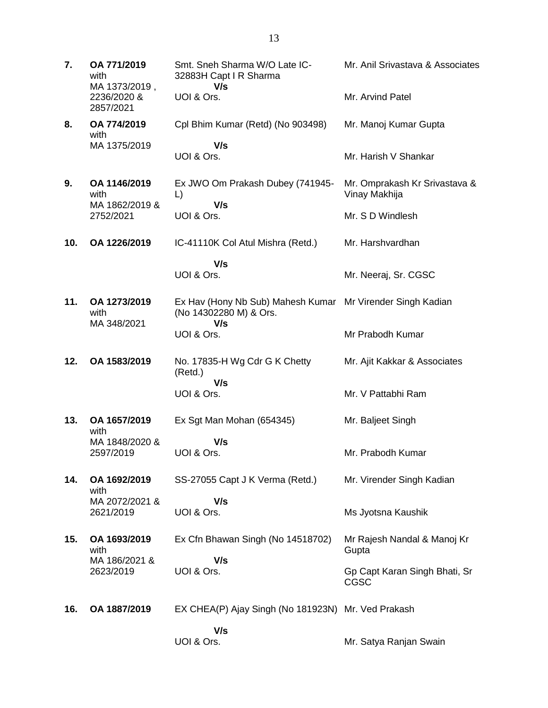**7. OA 771/2019** with MA 1373/2019 , 2236/2020 & 2857/2021 Smt. Sneh Sharma W/O Late IC-32883H Capt I R Sharma  **V/s** UOI & Ors. Mr. Anil Srivastava & Associates Mr. Arvind Patel **8. OA 774/2019** with MA 1375/2019 Cpl Bhim Kumar (Retd) (No 903498)  **V/s** UOI & Ors. Mr. Manoj Kumar Gupta Mr. Harish V Shankar **9. OA 1146/2019** with MA 1862/2019 & 2752/2021 Ex JWO Om Prakash Dubey (741945- L)  **V/s** UOI & Ors. Mr. Omprakash Kr Srivastava & Vinay Makhija Mr. S D Windlesh **10. OA 1226/2019** IC-41110K Col Atul Mishra (Retd.)  **V/s** UOI & Ors. Mr. Harshvardhan Mr. Neeraj, Sr. CGSC **11. OA 1273/2019** with MA 348/2021 Ex Hav (Hony Nb Sub) Mahesh Kumar Mr Virender Singh Kadian (No 14302280 M) & Ors.  **V/s** UOI & Ors. Mr Prabodh Kumar **12. OA 1583/2019** No. 17835-H Wg Cdr G K Chetty (Retd.)  **V/s** UOI & Ors. Mr. Ajit Kakkar & Associates Mr. V Pattabhi Ram **13. OA 1657/2019** with MA 1848/2020 & 2597/2019 Ex Sgt Man Mohan (654345)  **V/s** UOI & Ors. Mr. Baljeet Singh Mr. Prabodh Kumar **14. OA 1692/2019** with MA 2072/2021 & 2621/2019 SS-27055 Capt J K Verma (Retd.)  **V/s** UOI & Ors. Mr. Virender Singh Kadian Ms Jyotsna Kaushik **15. OA 1693/2019** with MA 186/2021 & 2623/2019 Ex Cfn Bhawan Singh (No 14518702)  **V/s** UOI & Ors. Mr Rajesh Nandal & Manoj Kr **Gupta** Gp Capt Karan Singh Bhati, Sr CGSC **16. OA 1887/2019** EX CHEA(P) Ajay Singh (No 181923N) Mr. Ved Prakash  **V/s** UOI & Ors. Mr. Satya Ranjan Swain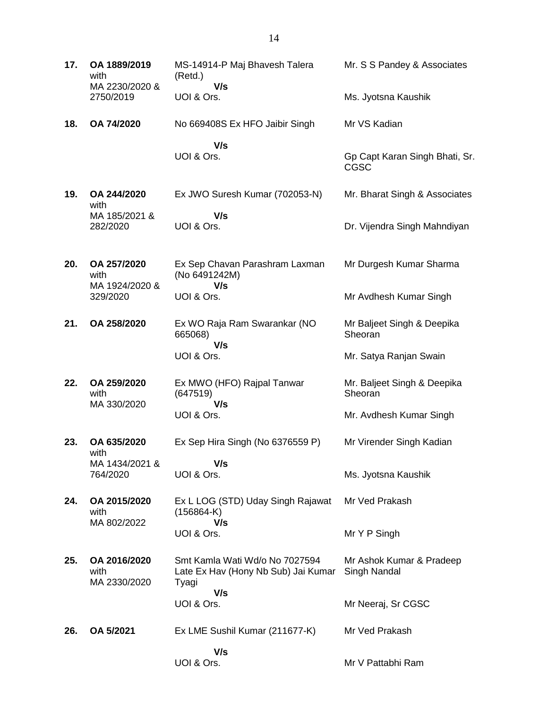| 17. | OA 1889/2019<br>with<br>MA 2230/2020 &<br>2750/2019 | MS-14914-P Maj Bhavesh Talera<br>(Retd.)                                       | Mr. S S Pandey & Associates                   |
|-----|-----------------------------------------------------|--------------------------------------------------------------------------------|-----------------------------------------------|
|     |                                                     | V/s<br>UOI & Ors.                                                              | Ms. Jyotsna Kaushik                           |
| 18. | OA 74/2020                                          | No 669408S Ex HFO Jaibir Singh                                                 | Mr VS Kadian                                  |
|     |                                                     | V/s<br>UOI & Ors.                                                              | Gp Capt Karan Singh Bhati, Sr.<br><b>CGSC</b> |
| 19. | OA 244/2020<br>with                                 | Ex JWO Suresh Kumar (702053-N)                                                 | Mr. Bharat Singh & Associates                 |
|     | MA 185/2021 &<br>282/2020                           | V/s<br>UOI & Ors.                                                              | Dr. Vijendra Singh Mahndiyan                  |
| 20. | OA 257/2020<br>with<br>MA 1924/2020 &               | Ex Sep Chavan Parashram Laxman<br>(No 6491242M)<br>V/s                         | Mr Durgesh Kumar Sharma                       |
|     | 329/2020                                            | UOI & Ors.                                                                     | Mr Avdhesh Kumar Singh                        |
| 21. | OA 258/2020                                         | Ex WO Raja Ram Swarankar (NO<br>665068)<br>V/s                                 | Mr Baljeet Singh & Deepika<br>Sheoran         |
|     |                                                     | UOI & Ors.                                                                     | Mr. Satya Ranjan Swain                        |
| 22. | OA 259/2020<br>with<br>MA 330/2020                  | Ex MWO (HFO) Rajpal Tanwar<br>(647519)<br>V/s                                  | Mr. Baljeet Singh & Deepika<br>Sheoran        |
|     |                                                     | UOI & Ors.                                                                     | Mr. Avdhesh Kumar Singh                       |
| 23. | OA 635/2020<br>with                                 | Ex Sep Hira Singh (No 6376559 P)                                               | Mr Virender Singh Kadian                      |
|     | MA 1434/2021 &<br>764/2020                          | V/s<br>UOI & Ors.                                                              | Ms. Jyotsna Kaushik                           |
| 24. | OA 2015/2020<br>with                                | Ex L LOG (STD) Uday Singh Rajawat<br>$(156864-K)$                              | Mr Ved Prakash                                |
|     | MA 802/2022                                         | V/s<br>UOI & Ors.                                                              | Mr Y P Singh                                  |
| 25. | OA 2016/2020<br>with<br>MA 2330/2020                | Smt Kamla Wati Wd/o No 7027594<br>Late Ex Hav (Hony Nb Sub) Jai Kumar<br>Tyagi | Mr Ashok Kumar & Pradeep<br>Singh Nandal      |
|     |                                                     | V/s<br>UOI & Ors.                                                              | Mr Neeraj, Sr CGSC                            |
| 26. | OA 5/2021                                           | Ex LME Sushil Kumar (211677-K)                                                 | Mr Ved Prakash                                |
|     |                                                     | V/s<br>UOI & Ors.                                                              | Mr V Pattabhi Ram                             |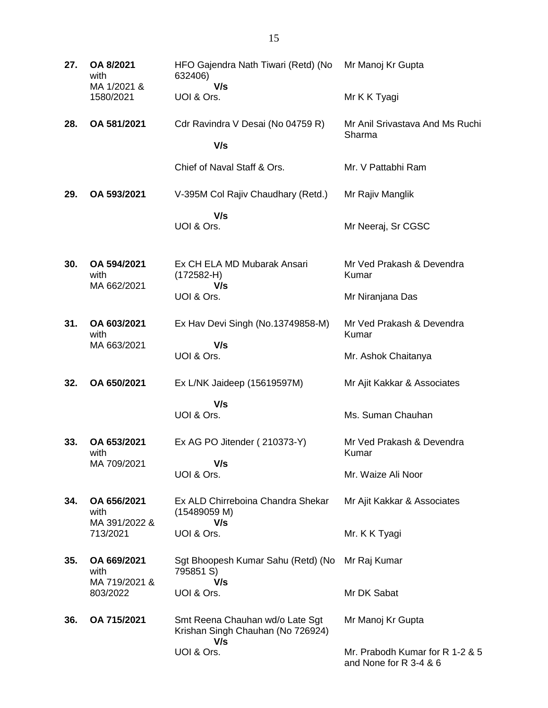| 27. | OA 8/2021<br>with                    | HFO Gajendra Nath Tiwari (Retd) (No<br>632406)                              | Mr Manoj Kr Gupta                                         |
|-----|--------------------------------------|-----------------------------------------------------------------------------|-----------------------------------------------------------|
|     | MA 1/2021 &<br>1580/2021             | V/s<br>UOI & Ors.                                                           | Mr K K Tyagi                                              |
| 28. | OA 581/2021                          | Cdr Ravindra V Desai (No 04759 R)<br>V/s                                    | Mr Anil Srivastava And Ms Ruchi<br>Sharma                 |
|     |                                      | Chief of Naval Staff & Ors.                                                 | Mr. V Pattabhi Ram                                        |
| 29. | OA 593/2021                          | V-395M Col Rajiv Chaudhary (Retd.)                                          | Mr Rajiv Manglik                                          |
|     |                                      | V/s<br>UOI & Ors.                                                           | Mr Neeraj, Sr CGSC                                        |
| 30. | OA 594/2021<br>with<br>MA 662/2021   | Ex CH ELA MD Mubarak Ansari<br>$(172582-H)$<br>V/s                          | Mr Ved Prakash & Devendra<br>Kumar                        |
|     |                                      | UOI & Ors.                                                                  | Mr Niranjana Das                                          |
| 31. | OA 603/2021<br>with                  | Ex Hav Devi Singh (No.13749858-M)                                           | Mr Ved Prakash & Devendra<br>Kumar                        |
|     | MA 663/2021                          | V/s<br>UOI & Ors.                                                           | Mr. Ashok Chaitanya                                       |
| 32. | OA 650/2021                          | Ex L/NK Jaideep (15619597M)                                                 | Mr Ajit Kakkar & Associates                               |
|     |                                      | V/s<br>UOI & Ors.                                                           | Ms. Suman Chauhan                                         |
| 33. | OA 653/2021<br>with<br>MA 709/2021   | Ex AG PO Jitender (210373-Y)<br>V/s                                         | Mr Ved Prakash & Devendra<br>Kumar                        |
|     |                                      | UOI & Ors.                                                                  | Mr. Waize Ali Noor                                        |
| 34. | OA 656/2021<br>with<br>MA 391/2022 & | Ex ALD Chirreboina Chandra Shekar<br>(15489059 M)<br>V/s                    | Mr Ajit Kakkar & Associates                               |
|     | 713/2021                             | UOI & Ors.                                                                  | Mr. K K Tyagi                                             |
| 35. | OA 669/2021<br>with                  | Sgt Bhoopesh Kumar Sahu (Retd) (No<br>795851 S)                             | Mr Raj Kumar                                              |
|     | MA 719/2021 &<br>803/2022            | V/s<br>UOI & Ors.                                                           | Mr DK Sabat                                               |
| 36. | OA 715/2021                          | Smt Reena Chauhan wd/o Late Sgt<br>Krishan Singh Chauhan (No 726924)<br>V/s | Mr Manoj Kr Gupta                                         |
|     |                                      | UOI & Ors.                                                                  | Mr. Prabodh Kumar for R 1-2 & 5<br>and None for R 3-4 & 6 |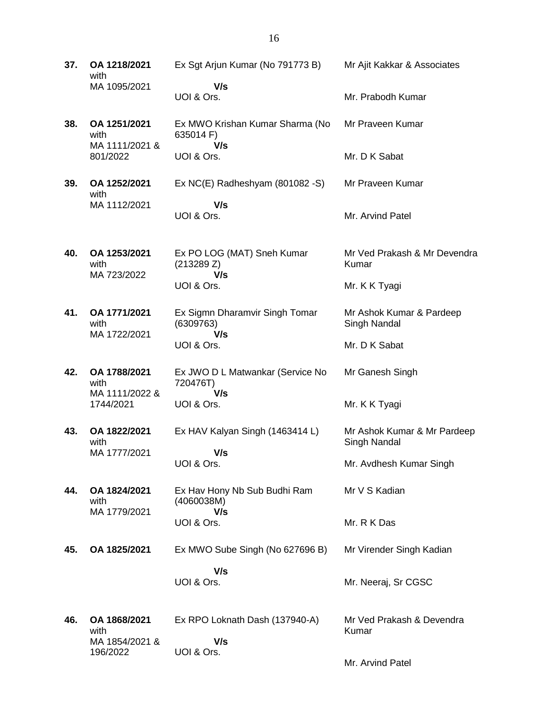**37. OA 1218/2021** with MA 1095/2021 Ex Sgt Arjun Kumar (No 791773 B)  **V/s** UOI & Ors. Mr Ajit Kakkar & Associates Mr. Prabodh Kumar **38. OA 1251/2021** with MA 1111/2021 & 801/2022 Ex MWO Krishan Kumar Sharma (No 635014 F)  **V/s** UOI & Ors. Mr Praveen Kumar Mr. D K Sabat **39. OA 1252/2021** with MA 1112/2021 Ex NC(E) Radheshyam (801082 -S)  **V/s** UOI & Ors. Mr Praveen Kumar Mr. Arvind Patel **40. OA 1253/2021** with MA 723/2022 Ex PO LOG (MAT) Sneh Kumar (213289 Z)  **V/s** UOI & Ors. Mr Ved Prakash & Mr Devendra Kumar Mr. K K Tyagi **41. OA 1771/2021** with MA 1722/2021 Ex Sigmn Dharamvir Singh Tomar (6309763)  **V/s** UOI & Ors. Mr Ashok Kumar & Pardeep Singh Nandal Mr. D K Sabat **42. OA 1788/2021** with MA 1111/2022 & 1744/2021 Ex JWO D L Matwankar (Service No 720476T)  **V/s** UOI & Ors. Mr Ganesh Singh Mr. K K Tyagi **43. OA 1822/2021** with MA 1777/2021 Ex HAV Kalyan Singh (1463414 L)  **V/s** UOI & Ors. Mr Ashok Kumar & Mr Pardeep Singh Nandal Mr. Avdhesh Kumar Singh **44. OA 1824/2021** with MA 1779/2021 Ex Hav Hony Nb Sub Budhi Ram (4060038M)  **V/s** UOI & Ors. Mr V S Kadian Mr. R K Das **45. OA 1825/2021** Ex MWO Sube Singh (No 627696 B)  **V/s** UOI & Ors. Mr Virender Singh Kadian Mr. Neeraj, Sr CGSC **46. OA 1868/2021** with MA 1854/2021 & 196/2022 Ex RPO Loknath Dash (137940-A)  **V/s** UOI & Ors. Mr Ved Prakash & Devendra Kumar

Mr. Arvind Patel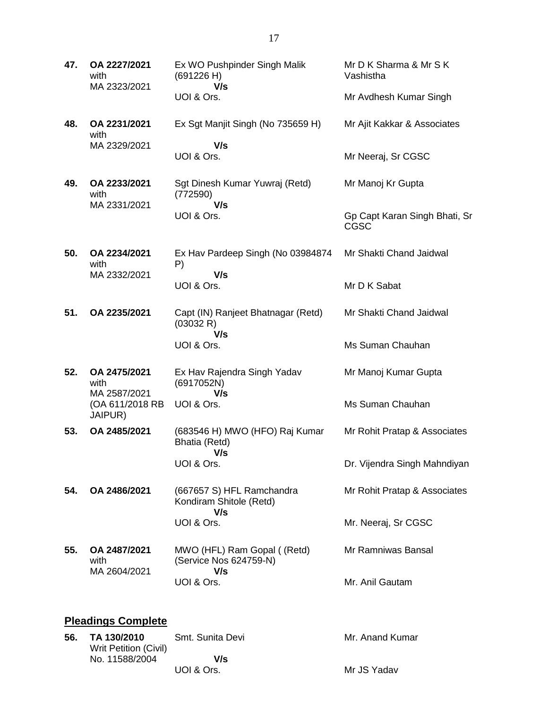| 47. | OA 2227/2021<br>with<br>MA 2323/2021 | Ex WO Pushpinder Singh Malik<br>(691226 H)<br>V/s           | Mr D K Sharma & Mr S K<br>Vashistha          |
|-----|--------------------------------------|-------------------------------------------------------------|----------------------------------------------|
|     |                                      | UOI & Ors.                                                  | Mr Avdhesh Kumar Singh                       |
| 48. | OA 2231/2021<br>with                 | Ex Sgt Manjit Singh (No 735659 H)                           | Mr Ajit Kakkar & Associates                  |
|     | MA 2329/2021                         | V/s<br>UOI & Ors.                                           | Mr Neeraj, Sr CGSC                           |
| 49. | OA 2233/2021<br>with                 | Sgt Dinesh Kumar Yuwraj (Retd)<br>(772590)                  | Mr Manoj Kr Gupta                            |
|     | MA 2331/2021                         | V/s<br>UOI & Ors.                                           | Gp Capt Karan Singh Bhati, Sr<br><b>CGSC</b> |
| 50. | OA 2234/2021<br>with                 | Ex Hav Pardeep Singh (No 03984874<br>P)                     | Mr Shakti Chand Jaidwal                      |
|     | MA 2332/2021                         | V/s<br>UOI & Ors.                                           | Mr D K Sabat                                 |
| 51. | OA 2235/2021                         | Capt (IN) Ranjeet Bhatnagar (Retd)<br>(03032 R)             | Mr Shakti Chand Jaidwal                      |
|     |                                      | V/s<br>UOI & Ors.                                           | Ms Suman Chauhan                             |
| 52. | OA 2475/2021<br>with<br>MA 2587/2021 | Ex Hav Rajendra Singh Yadav<br>(6917052N)<br>V/s            | Mr Manoj Kumar Gupta                         |
|     | (OA 611/2018 RB<br>JAIPUR)           | UOI & Ors.                                                  | Ms Suman Chauhan                             |
| 53. | OA 2485/2021                         | (683546 H) MWO (HFO) Raj Kumar<br>Bhatia (Retd)<br>V/s      | Mr Rohit Pratap & Associates                 |
|     |                                      | UOI & Ors.                                                  | Dr. Vijendra Singh Mahndiyan                 |
| 54. | OA 2486/2021                         | (667657 S) HFL Ramchandra<br>Kondiram Shitole (Retd)<br>V/s | Mr Rohit Pratap & Associates                 |
|     |                                      | UOI & Ors.                                                  | Mr. Neeraj, Sr CGSC                          |
| 55. | OA 2487/2021<br>with                 | MWO (HFL) Ram Gopal ((Retd)<br>(Service Nos 624759-N)       | Mr Ramniwas Bansal                           |
|     | MA 2604/2021                         | V/s<br>UOI & Ors.                                           | Mr. Anil Gautam                              |
|     |                                      |                                                             |                                              |

# **Pleadings Complete**

| 56. | TA 130/2010<br>Writ Petition (Civil) | Smt. Sunita Devi | Mr. Anand Kumar |
|-----|--------------------------------------|------------------|-----------------|
|     | No. 11588/2004                       | V/s              |                 |
|     |                                      | UOI & Ors.       | Mr JS Yadav     |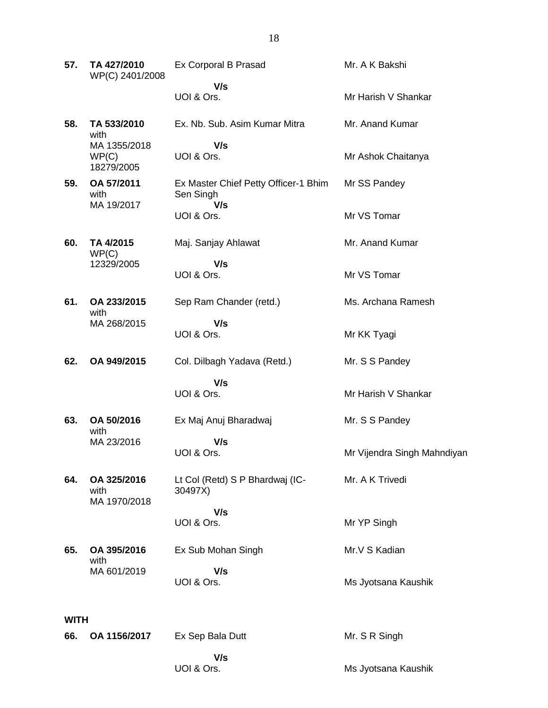| 57. | TA 427/2010<br>WP(C) 2401/2008      | Ex Corporal B Prasad                                     | Mr. A K Bakshi              |  |  |
|-----|-------------------------------------|----------------------------------------------------------|-----------------------------|--|--|
|     |                                     | V/s<br>UOI & Ors.                                        | Mr Harish V Shankar         |  |  |
| 58. | TA 533/2010<br>with                 | Ex. Nb. Sub. Asim Kumar Mitra                            | Mr. Anand Kumar             |  |  |
|     | MA 1355/2018<br>WP(C)<br>18279/2005 | V/s<br>UOI & Ors.                                        | Mr Ashok Chaitanya          |  |  |
| 59. | OA 57/2011<br>with<br>MA 19/2017    | Ex Master Chief Petty Officer-1 Bhim<br>Sen Singh<br>V/s | Mr SS Pandey                |  |  |
|     |                                     | UOI & Ors.                                               | Mr VS Tomar                 |  |  |
| 60. | TA 4/2015<br>WP(C)                  | Maj. Sanjay Ahlawat                                      | Mr. Anand Kumar             |  |  |
|     | 12329/2005                          | V/s<br>UOI & Ors.                                        | Mr VS Tomar                 |  |  |
| 61. | OA 233/2015<br>with                 | Sep Ram Chander (retd.)                                  | Ms. Archana Ramesh          |  |  |
|     | MA 268/2015                         | V/s<br>UOI & Ors.                                        | Mr KK Tyagi                 |  |  |
| 62. | OA 949/2015                         | Col. Dilbagh Yadava (Retd.)                              | Mr. S S Pandey              |  |  |
|     |                                     | V/s<br>UOI & Ors.                                        | Mr Harish V Shankar         |  |  |
| 63. | OA 50/2016<br>with                  | Ex Maj Anuj Bharadwaj                                    | Mr. S S Pandey              |  |  |
|     | MA 23/2016                          | V/s<br>UOI & Ors.                                        | Mr Vijendra Singh Mahndiyan |  |  |
| 64. | OA 325/2016<br>with<br>MA 1970/2018 | Lt Col (Retd) S P Bhardwaj (IC-<br>30497X)               | Mr. A K Trivedi             |  |  |
|     |                                     | V/s<br>UOI & Ors.                                        | Mr YP Singh                 |  |  |
| 65. | OA 395/2016<br>with                 | Ex Sub Mohan Singh                                       | Mr.V S Kadian               |  |  |
|     | MA 601/2019                         | V/s<br>UOI & Ors.                                        | Ms Jyotsana Kaushik         |  |  |
|     | <b>WITH</b>                         |                                                          |                             |  |  |
| 66. | OA 1156/2017                        | Ex Sep Bala Dutt                                         | Mr. S R Singh               |  |  |
|     |                                     | V/s<br>UOI & Ors.                                        | Ms Jyotsana Kaushik         |  |  |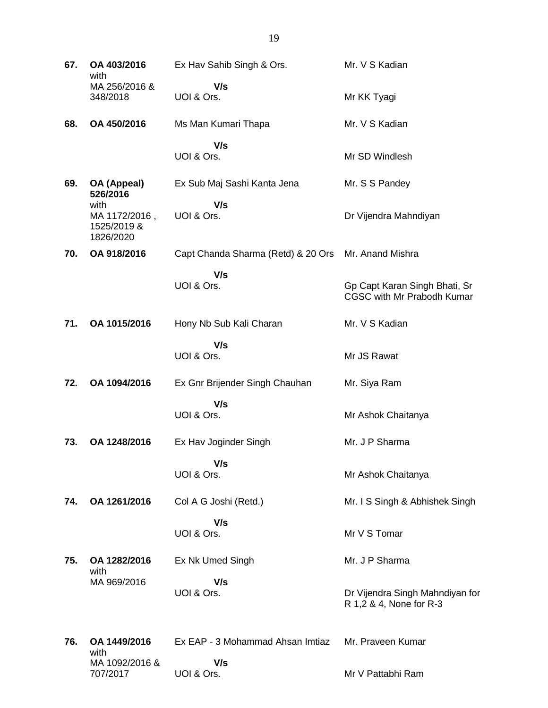| 67. | OA 403/2016<br>with                               | Ex Hav Sahib Singh & Ors.          | Mr. V S Kadian                                                     |
|-----|---------------------------------------------------|------------------------------------|--------------------------------------------------------------------|
|     | MA 256/2016 &<br>348/2018                         | V/s<br>UOI & Ors.                  | Mr KK Tyagi                                                        |
| 68. | OA 450/2016                                       | Ms Man Kumari Thapa                | Mr. V S Kadian                                                     |
|     |                                                   | V/s<br>UOI & Ors.                  | Mr SD Windlesh                                                     |
| 69. | OA (Appeal)<br>526/2016                           | Ex Sub Maj Sashi Kanta Jena        | Mr. S S Pandey                                                     |
|     | with<br>MA 1172/2016,<br>1525/2019 &<br>1826/2020 | V/s<br>UOI & Ors.                  | Dr Vijendra Mahndiyan                                              |
| 70. | OA 918/2016                                       | Capt Chanda Sharma (Retd) & 20 Ors | Mr. Anand Mishra                                                   |
|     |                                                   | V/s<br>UOI & Ors.                  | Gp Capt Karan Singh Bhati, Sr<br><b>CGSC with Mr Prabodh Kumar</b> |
| 71. | OA 1015/2016                                      | Hony Nb Sub Kali Charan            | Mr. V S Kadian                                                     |
|     |                                                   | V/s<br>UOI & Ors.                  | Mr JS Rawat                                                        |
| 72. | OA 1094/2016                                      | Ex Gnr Brijender Singh Chauhan     | Mr. Siya Ram                                                       |
|     |                                                   | V/s<br>UOI & Ors.                  | Mr Ashok Chaitanya                                                 |
| 73. | OA 1248/2016                                      | Ex Hav Joginder Singh              | Mr. J P Sharma                                                     |
|     |                                                   | V/s<br>UOI & Ors.                  | Mr Ashok Chaitanya                                                 |
| 74. | OA 1261/2016                                      | Col A G Joshi (Retd.)              | Mr. I S Singh & Abhishek Singh                                     |
|     |                                                   | V/s<br>UOI & Ors.                  | Mr V S Tomar                                                       |
| 75. | OA 1282/2016<br>with                              | Ex Nk Umed Singh                   | Mr. J P Sharma                                                     |
|     | MA 969/2016                                       | V/s<br>UOI & Ors.                  | Dr Vijendra Singh Mahndiyan for<br>R 1,2 & 4, None for R-3         |
| 76. | OA 1449/2016                                      | Ex EAP - 3 Mohammad Ahsan Imtiaz   | Mr. Praveen Kumar                                                  |
|     | with<br>MA 1092/2016 &<br>707/2017                | V/s<br>UOI & Ors.                  | Mr V Pattabhi Ram                                                  |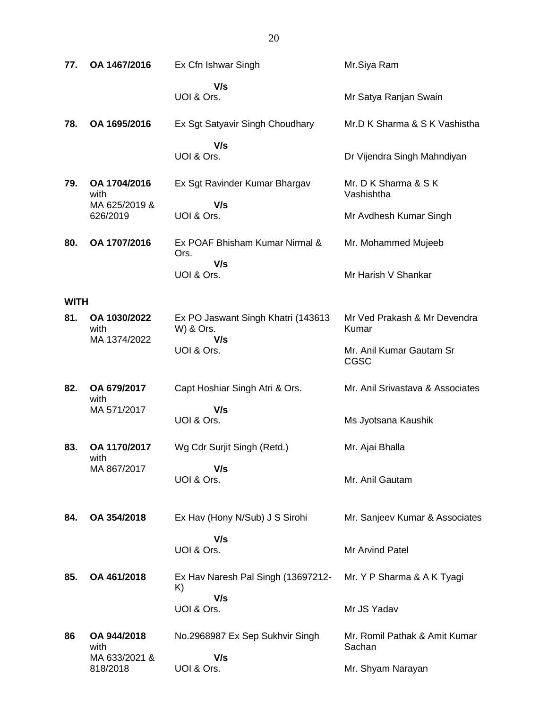| 77.         | OA 1467/2016              | Ex Cfn Ishwar Singh                             | Mr.Siya Ram                             |
|-------------|---------------------------|-------------------------------------------------|-----------------------------------------|
|             |                           | V/s<br>UOI & Ors.                               | Mr Satya Ranjan Swain                   |
| 78.         | OA 1695/2016              | Ex Sgt Satyavir Singh Choudhary                 | Mr.D K Sharma & S K Vashistha           |
|             |                           | V/s<br>UOI & Ors.                               | Dr Vijendra Singh Mahndiyan             |
| 79.         | OA 1704/2016<br>with      | Ex Sgt Ravinder Kumar Bhargav                   | Mr. D K Sharma & S K<br>Vashishtha      |
|             | MA 625/2019 &<br>626/2019 | V/s<br>UOI & Ors.                               | Mr Avdhesh Kumar Singh                  |
| 80.         | OA 1707/2016              | Ex POAF Bhisham Kumar Nirmal &<br>Ors.          | Mr. Mohammed Mujeeb                     |
|             |                           | V/s<br>UOI & Ors.                               | Mr Harish V Shankar                     |
| <b>WITH</b> |                           |                                                 |                                         |
| 81.         | OA 1030/2022<br>with      | Ex PO Jaswant Singh Khatri (143613<br>W) & Ors. | Mr Ved Prakash & Mr Devendra<br>Kumar   |
|             | MA 1374/2022              | V/s<br>UOI & Ors.                               | Mr. Anil Kumar Gautam Sr<br>CGSC        |
| 82.         | OA 679/2017<br>with       | Capt Hoshiar Singh Atri & Ors.                  | Mr. Anil Srivastava & Associates        |
|             | MA 571/2017               | V/s<br>UOI & Ors.                               | Ms Jyotsana Kaushik                     |
| 83.         | OA 1170/2017<br>with      | Wg Cdr Surjit Singh (Retd.)                     | Mr. Ajai Bhalla                         |
|             | MA 867/2017               | V/s<br>UOI & Ors.                               | Mr. Anil Gautam                         |
| 84.         | OA 354/2018               | Ex Hav (Hony N/Sub) J S Sirohi                  | Mr. Sanjeev Kumar & Associates          |
|             |                           | V/s<br>UOI & Ors.                               | Mr Arvind Patel                         |
| 85.         | OA 461/2018               | Ex Hav Naresh Pal Singh (13697212-<br>K)        | Mr. Y P Sharma & A K Tyagi              |
|             |                           | V/s<br>UOI & Ors.                               | Mr JS Yadav                             |
| 86          | OA 944/2018<br>with       | No.2968987 Ex Sep Sukhvir Singh                 | Mr. Romil Pathak & Amit Kumar<br>Sachan |
|             | MA 633/2021 &<br>818/2018 | V/s<br>UOI & Ors.                               | Mr. Shyam Narayan                       |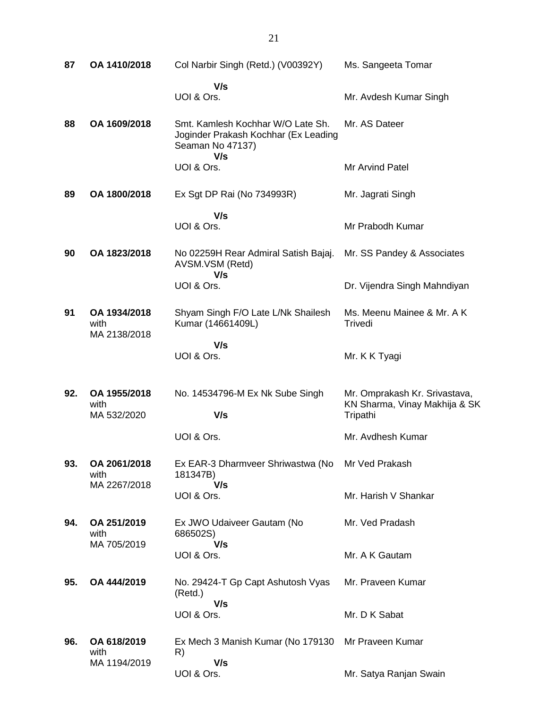| 87  | OA 1410/2018                         | Col Narbir Singh (Retd.) (V00392Y)                                                                   | Ms. Sangeeta Tomar                                                         |
|-----|--------------------------------------|------------------------------------------------------------------------------------------------------|----------------------------------------------------------------------------|
|     |                                      | V/s<br>UOI & Ors.                                                                                    | Mr. Avdesh Kumar Singh                                                     |
| 88  | OA 1609/2018                         | Smt. Kamlesh Kochhar W/O Late Sh.<br>Joginder Prakash Kochhar (Ex Leading<br>Seaman No 47137)<br>V/s | Mr. AS Dateer                                                              |
|     |                                      | UOI & Ors.                                                                                           | Mr Arvind Patel                                                            |
| 89  | OA 1800/2018                         | Ex Sgt DP Rai (No 734993R)                                                                           | Mr. Jagrati Singh                                                          |
|     |                                      | V/s                                                                                                  |                                                                            |
|     |                                      | UOI & Ors.                                                                                           | Mr Prabodh Kumar                                                           |
| 90  | OA 1823/2018                         | No 02259H Rear Admiral Satish Bajaj.<br>AVSM.VSM (Retd)<br>V/s                                       | Mr. SS Pandey & Associates                                                 |
|     |                                      | UOI & Ors.                                                                                           | Dr. Vijendra Singh Mahndiyan                                               |
| 91  | OA 1934/2018<br>with<br>MA 2138/2018 | Shyam Singh F/O Late L/Nk Shailesh<br>Kumar (14661409L)                                              | Ms. Meenu Mainee & Mr. A K<br>Trivedi                                      |
|     |                                      | V/s<br>UOI & Ors.                                                                                    | Mr. K K Tyagi                                                              |
| 92. | OA 1955/2018<br>with<br>MA 532/2020  | No. 14534796-M Ex Nk Sube Singh<br>V/s                                                               | Mr. Omprakash Kr. Srivastava,<br>KN Sharma, Vinay Makhija & SK<br>Tripathi |
|     |                                      | UOI & Ors.                                                                                           | Mr. Avdhesh Kumar                                                          |
| 93. | OA 2061/2018<br>with                 | Ex EAR-3 Dharmveer Shriwastwa (No<br>181347B)                                                        | Mr Ved Prakash                                                             |
|     | MA 2267/2018                         | V/s<br>UOI & Ors.                                                                                    | Mr. Harish V Shankar                                                       |
| 94. | OA 251/2019<br>with<br>MA 705/2019   | Ex JWO Udaiveer Gautam (No<br>686502S)                                                               | Mr. Ved Pradash                                                            |
|     |                                      | V/s<br>UOI & Ors.                                                                                    | Mr. A K Gautam                                                             |
| 95. | OA 444/2019                          | No. 29424-T Gp Capt Ashutosh Vyas<br>(Retd.)                                                         | Mr. Praveen Kumar                                                          |
|     |                                      | V/s<br>UOI & Ors.                                                                                    | Mr. D K Sabat                                                              |
| 96. | OA 618/2019<br>with                  | Ex Mech 3 Manish Kumar (No 179130<br>R)                                                              | Mr Praveen Kumar                                                           |
|     | MA 1194/2019                         | V/s<br>UOI & Ors.                                                                                    | Mr. Satya Ranjan Swain                                                     |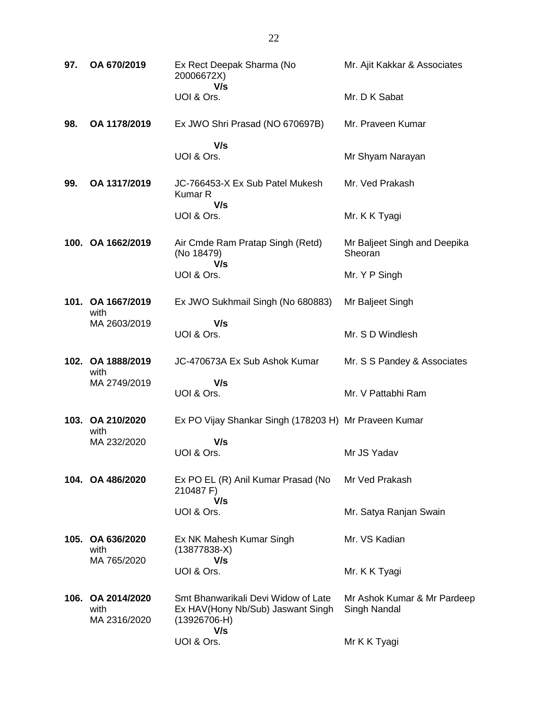| 97. | OA 670/2019                               | Ex Rect Deepak Sharma (No<br>20006672X)<br>V/s                                             | Mr. Ajit Kakkar & Associates                |
|-----|-------------------------------------------|--------------------------------------------------------------------------------------------|---------------------------------------------|
|     |                                           | UOI & Ors.                                                                                 | Mr. D K Sabat                               |
| 98. | OA 1178/2019                              | Ex JWO Shri Prasad (NO 670697B)                                                            | Mr. Praveen Kumar                           |
|     |                                           | V/s<br>UOI & Ors.                                                                          | Mr Shyam Narayan                            |
| 99. | OA 1317/2019                              | JC-766453-X Ex Sub Patel Mukesh<br>Kumar R<br>V/s                                          | Mr. Ved Prakash                             |
|     |                                           | UOI & Ors.                                                                                 | Mr. K K Tyagi                               |
|     | 100. OA 1662/2019                         | Air Cmde Ram Pratap Singh (Retd)<br>(No 18479)<br>V/s                                      | Mr Baljeet Singh and Deepika<br>Sheoran     |
|     |                                           | UOI & Ors.                                                                                 | Mr. Y P Singh                               |
|     | 101. OA 1667/2019<br>with                 | Ex JWO Sukhmail Singh (No 680883)                                                          | Mr Baljeet Singh                            |
|     | MA 2603/2019                              | V/s<br>UOI & Ors.                                                                          | Mr. S D Windlesh                            |
|     | 102. OA 1888/2019<br>with                 | JC-470673A Ex Sub Ashok Kumar                                                              | Mr. S S Pandey & Associates                 |
|     | MA 2749/2019                              | V/s<br>UOI & Ors.                                                                          | Mr. V Pattabhi Ram                          |
|     | 103. OA 210/2020<br>with                  | Ex PO Vijay Shankar Singh (178203 H) Mr Praveen Kumar                                      |                                             |
|     | MA 232/2020                               | V/s<br>UOI & Ors.                                                                          | Mr JS Yadav                                 |
|     | 104. OA 486/2020                          | Ex PO EL (R) Anil Kumar Prasad (No<br>210487 F)<br>V/s                                     | Mr Ved Prakash                              |
|     |                                           | UOI & Ors.                                                                                 | Mr. Satya Ranjan Swain                      |
|     | 105. OA 636/2020<br>with<br>MA 765/2020   | Ex NK Mahesh Kumar Singh<br>$(13877838-X)$<br>V/s                                          | Mr. VS Kadian                               |
|     |                                           | UOI & Ors.                                                                                 | Mr. K K Tyagi                               |
|     | 106. OA 2014/2020<br>with<br>MA 2316/2020 | Smt Bhanwarikali Devi Widow of Late<br>Ex HAV(Hony Nb/Sub) Jaswant Singh<br>$(13926706-H)$ | Mr Ashok Kumar & Mr Pardeep<br>Singh Nandal |
|     |                                           | V/s<br>UOI & Ors.                                                                          | Mr K K Tyagi                                |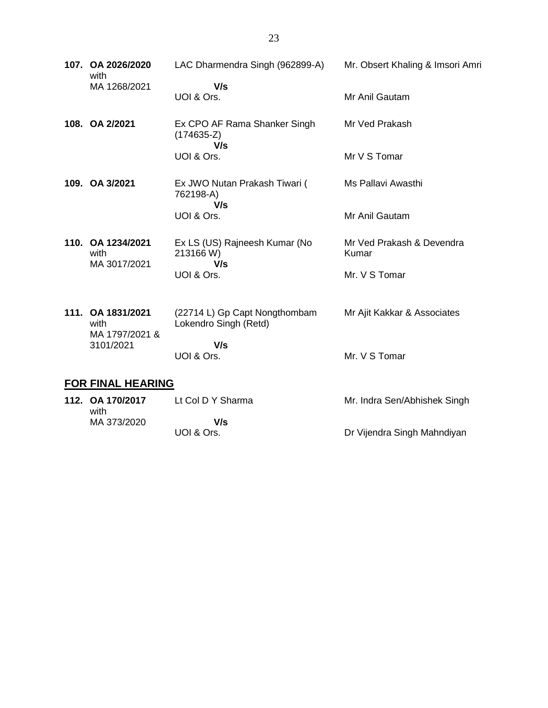|      | 107. OA 2026/2020<br>with<br>MA 1268/2021 | LAC Dharmendra Singh (962899-A)<br>V/s                 | Mr. Obsert Khaling & Imsori Amri   |
|------|-------------------------------------------|--------------------------------------------------------|------------------------------------|
|      |                                           | UOI & Ors.                                             | Mr Anil Gautam                     |
|      | 108. OA 2/2021                            | Ex CPO AF Rama Shanker Singh<br>$(174635-Z)$<br>V/s    | Mr Ved Prakash                     |
|      |                                           | UOI & Ors.                                             | Mr V S Tomar                       |
|      | 109. OA 3/2021                            | Ex JWO Nutan Prakash Tiwari (<br>762198-A)<br>V/s      | Ms Pallavi Awasthi                 |
|      |                                           | UOI & Ors.                                             | Mr Anil Gautam                     |
|      | 110. OA 1234/2021<br>with<br>MA 3017/2021 | Ex LS (US) Rajneesh Kumar (No<br>213166 W)<br>V/s      | Mr Ved Prakash & Devendra<br>Kumar |
|      |                                           | UOI & Ors.                                             | Mr. V S Tomar                      |
| 111. | OA 1831/2021<br>with                      | (22714 L) Gp Capt Nongthombam<br>Lokendro Singh (Retd) | Mr Ajit Kakkar & Associates        |
|      | MA 1797/2021 &<br>3101/2021               | V/s<br>UOI & Ors.                                      | Mr. V S Tomar                      |

#### **FOR FINAL HEARING**

| 112. OA 170/2017<br>with | Lt Col D Y Sharma | Mr. Indra Sen/Abhishek Singh |
|--------------------------|-------------------|------------------------------|
| MA 373/2020              | V/s<br>UOI & Ors. | Dr Vijendra Singh Mahndiyan  |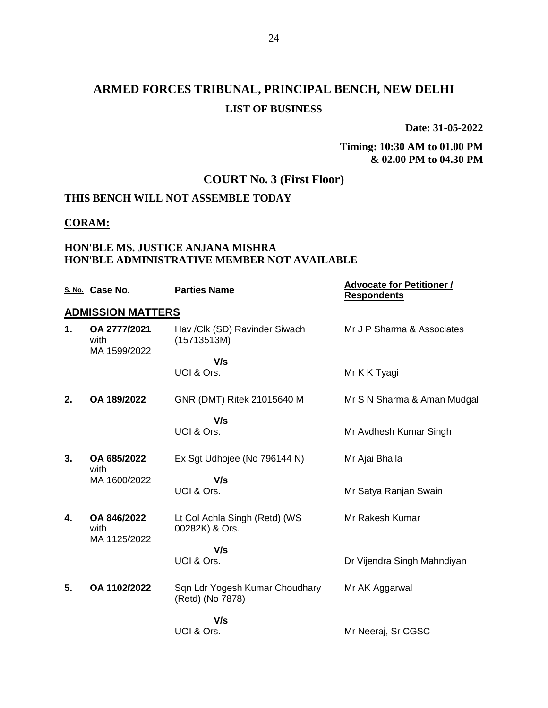**Date: 31-05-2022**

#### **Timing: 10:30 AM to 01.00 PM & 02.00 PM to 04.30 PM**

## **COURT No. 3 (First Floor)**

#### **THIS BENCH WILL NOT ASSEMBLE TODAY**

#### **CORAM:**

#### **HON'BLE MS. JUSTICE ANJANA MISHRA HON'BLE ADMINISTRATIVE MEMBER NOT AVAILABLE**

|    | S. No. Case No.                      | <b>Parties Name</b>                                | <b>Advocate for Petitioner /</b><br><b>Respondents</b> |
|----|--------------------------------------|----------------------------------------------------|--------------------------------------------------------|
|    | <b>ADMISSION MATTERS</b>             |                                                    |                                                        |
| 1. | OA 2777/2021<br>with<br>MA 1599/2022 | Hav /Clk (SD) Ravinder Siwach<br>(15713513M)       | Mr J P Sharma & Associates                             |
|    |                                      | V/s                                                |                                                        |
|    |                                      | UOI & Ors.                                         | Mr K K Tyagi                                           |
| 2. | OA 189/2022                          | GNR (DMT) Ritek 21015640 M                         | Mr S N Sharma & Aman Mudgal                            |
|    |                                      | V/s                                                |                                                        |
|    |                                      | UOI & Ors.                                         | Mr Avdhesh Kumar Singh                                 |
| 3. | OA 685/2022<br>with                  | Ex Sgt Udhojee (No 796144 N)                       | Mr Ajai Bhalla                                         |
|    | MA 1600/2022                         | V/s                                                |                                                        |
|    |                                      | UOI & Ors.                                         | Mr Satya Ranjan Swain                                  |
| 4. | OA 846/2022<br>with<br>MA 1125/2022  | Lt Col Achla Singh (Retd) (WS<br>00282K) & Ors.    | Mr Rakesh Kumar                                        |
|    |                                      | V/s                                                |                                                        |
|    |                                      | UOI & Ors.                                         | Dr Vijendra Singh Mahndiyan                            |
| 5. | OA 1102/2022                         | Sqn Ldr Yogesh Kumar Choudhary<br>(Retd) (No 7878) | Mr AK Aggarwal                                         |
|    |                                      | V/s                                                |                                                        |
|    |                                      | UOI & Ors.                                         | Mr Neeraj, Sr CGSC                                     |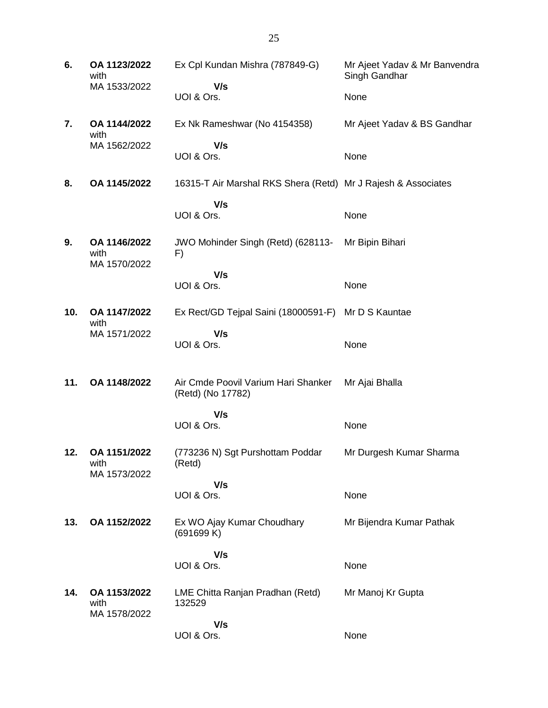| 6.  | OA 1123/2022<br>with                 | Ex Cpl Kundan Mishra (787849-G)                               | Mr Ajeet Yadav & Mr Banvendra<br>Singh Gandhar |
|-----|--------------------------------------|---------------------------------------------------------------|------------------------------------------------|
|     | MA 1533/2022                         | V/s<br>UOI & Ors.                                             | None                                           |
| 7.  | OA 1144/2022<br>with                 | Ex Nk Rameshwar (No 4154358)                                  | Mr Ajeet Yadav & BS Gandhar                    |
|     | MA 1562/2022                         | V/s<br>UOI & Ors.                                             | None                                           |
| 8.  | OA 1145/2022                         | 16315-T Air Marshal RKS Shera (Retd) Mr J Rajesh & Associates |                                                |
|     |                                      | V/s<br>UOI & Ors.                                             | None                                           |
| 9.  | OA 1146/2022<br>with<br>MA 1570/2022 | JWO Mohinder Singh (Retd) (628113-<br>F)                      | Mr Bipin Bihari                                |
|     |                                      | V/s<br>UOI & Ors.                                             | None                                           |
| 10. | OA 1147/2022<br>with                 | Ex Rect/GD Tejpal Saini (18000591-F) Mr D S Kauntae           |                                                |
|     | MA 1571/2022                         | V/s<br>UOI & Ors.                                             | None                                           |
| 11. | OA 1148/2022                         | Air Cmde Poovil Varium Hari Shanker<br>(Retd) (No 17782)      | Mr Ajai Bhalla                                 |
|     |                                      | V/s<br>UOI & Ors.                                             | None                                           |
| 12. | OA 1151/2022<br>with<br>MA 1573/2022 | (773236 N) Sgt Purshottam Poddar<br>(Retd)                    | Mr Durgesh Kumar Sharma                        |
|     |                                      | V/s<br>UOI & Ors.                                             | None                                           |
| 13. | OA 1152/2022                         | Ex WO Ajay Kumar Choudhary<br>(691699 K)                      | Mr Bijendra Kumar Pathak                       |
|     |                                      | V/s<br>UOI & Ors.                                             | None                                           |
| 14. | OA 1153/2022<br>with<br>MA 1578/2022 | LME Chitta Ranjan Pradhan (Retd)<br>132529                    | Mr Manoj Kr Gupta                              |
|     |                                      | V/s<br>UOI & Ors.                                             | None                                           |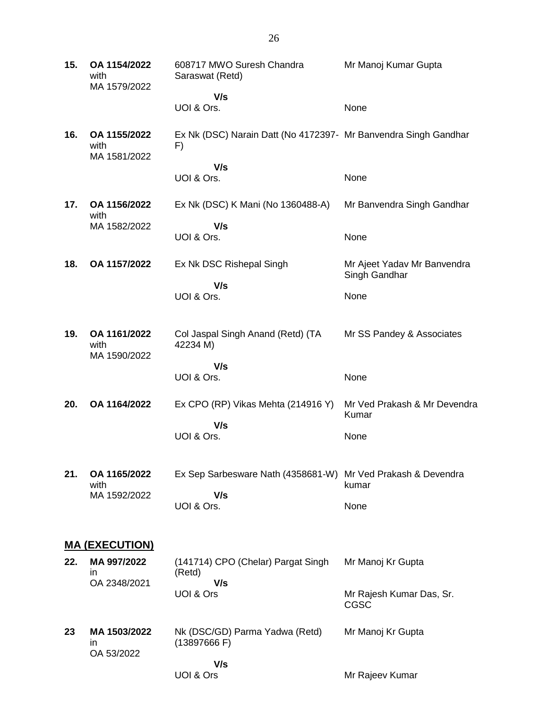| 15. | OA 1154/2022<br>with<br>MA 1579/2022 | 608717 MWO Suresh Chandra<br>Saraswat (Retd)                          | Mr Manoj Kumar Gupta                         |
|-----|--------------------------------------|-----------------------------------------------------------------------|----------------------------------------------|
|     |                                      | V/s<br>UOI & Ors.                                                     | None                                         |
| 16. | OA 1155/2022<br>with<br>MA 1581/2022 | Ex Nk (DSC) Narain Datt (No 4172397- Mr Banvendra Singh Gandhar<br>F) |                                              |
|     |                                      | V/s<br>UOI & Ors.                                                     | None                                         |
| 17. | OA 1156/2022<br>with                 | Ex Nk (DSC) K Mani (No 1360488-A)                                     | Mr Banvendra Singh Gandhar                   |
|     | MA 1582/2022                         | V/s<br>UOI & Ors.                                                     | None                                         |
| 18. | OA 1157/2022                         | Ex Nk DSC Rishepal Singh                                              | Mr Ajeet Yadav Mr Banvendra<br>Singh Gandhar |
|     |                                      | V/s<br>UOI & Ors.                                                     | None                                         |
| 19. | OA 1161/2022<br>with<br>MA 1590/2022 | Col Jaspal Singh Anand (Retd) (TA<br>42234 M)                         | Mr SS Pandey & Associates                    |
|     |                                      | V/s<br>UOI & Ors.                                                     | None                                         |
| 20. | OA 1164/2022                         | Ex CPO (RP) Vikas Mehta (214916 Y)                                    | Mr Ved Prakash & Mr Devendra<br>Kumar        |
|     |                                      | V/s<br>UOI & Ors.                                                     | None                                         |
| 21. | OA 1165/2022<br>with                 | Ex Sep Sarbesware Nath (4358681-W) Mr Ved Prakash & Devendra          | kumar                                        |
|     | MA 1592/2022                         | V/s<br>UOI & Ors.                                                     | None                                         |
|     | <u>MA (EXECUTION)</u>                |                                                                       |                                              |
| 22. | MA 997/2022<br>in.                   | (141714) CPO (Chelar) Pargat Singh<br>(Retd)                          | Mr Manoj Kr Gupta                            |
|     | OA 2348/2021                         | V/s<br>UOI & Ors                                                      | Mr Rajesh Kumar Das, Sr.<br><b>CGSC</b>      |
| 23  | MA 1503/2022<br>in<br>OA 53/2022     | Nk (DSC/GD) Parma Yadwa (Retd)<br>(13897666 F)                        | Mr Manoj Kr Gupta                            |
|     |                                      | V/s<br>UOI & Ors                                                      | Mr Rajeev Kumar                              |